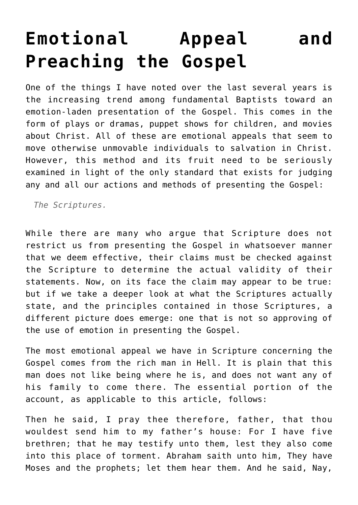## **[Emotional Appeal and](http://reproachofmen.org/spiritualwar/emotional-appeal-and-preaching-the-gospel/) [Preaching the Gospel](http://reproachofmen.org/spiritualwar/emotional-appeal-and-preaching-the-gospel/)**

One of the things I have noted over the last several years is the increasing trend among fundamental Baptists toward an emotion-laden presentation of the Gospel. This comes in the form of plays or dramas, puppet shows for children, and movies about Christ. All of these are emotional appeals that seem to move otherwise unmovable individuals to salvation in Christ. However, this method and its fruit need to be seriously examined in light of the only standard that exists for judging any and all our actions and methods of presenting the Gospel:

*The Scriptures.*

While there are many who argue that Scripture does not restrict us from presenting the Gospel in whatsoever manner that we deem effective, their claims must be checked against the Scripture to determine the actual validity of their statements. Now, on its face the claim may appear to be true: but if we take a deeper look at what the Scriptures actually state, and the principles contained in those Scriptures, a different picture does emerge: one that is not so approving of the use of emotion in presenting the Gospel.

The most emotional appeal we have in Scripture concerning the Gospel comes from the rich man in Hell. It is plain that this man does not like being where he is, and does not want any of his family to come there. The essential portion of the account, as applicable to this article, follows:

Then he said, I pray thee therefore, father, that thou wouldest send him to my father's house: For I have five brethren; that he may testify unto them, lest they also come into this place of torment. Abraham saith unto him, They have Moses and the prophets; let them hear them. And he said, Nay,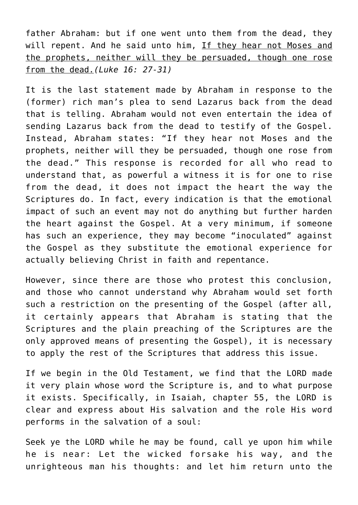father Abraham: but if one went unto them from the dead, they will repent. And he said unto him, If they hear not Moses and the prophets, neither will they be persuaded, though one rose from the dead.*(Luke 16: 27-31)*

It is the last statement made by Abraham in response to the (former) rich man's plea to send Lazarus back from the dead that is telling. Abraham would not even entertain the idea of sending Lazarus back from the dead to testify of the Gospel. Instead, Abraham states: "If they hear not Moses and the prophets, neither will they be persuaded, though one rose from the dead." This response is recorded for all who read to understand that, as powerful a witness it is for one to rise from the dead, it does not impact the heart the way the Scriptures do. In fact, every indication is that the emotional impact of such an event may not do anything but further harden the heart against the Gospel. At a very minimum, if someone has such an experience, they may become "inoculated" against the Gospel as they substitute the emotional experience for actually believing Christ in faith and repentance.

However, since there are those who protest this conclusion, and those who cannot understand why Abraham would set forth such a restriction on the presenting of the Gospel (after all, it certainly appears that Abraham is stating that the Scriptures and the plain preaching of the Scriptures are the only approved means of presenting the Gospel), it is necessary to apply the rest of the Scriptures that address this issue.

If we begin in the Old Testament, we find that the LORD made it very plain whose word the Scripture is, and to what purpose it exists. Specifically, in Isaiah, chapter 55, the LORD is clear and express about His salvation and the role His word performs in the salvation of a soul:

Seek ye the LORD while he may be found, call ye upon him while he is near: Let the wicked forsake his way, and the unrighteous man his thoughts: and let him return unto the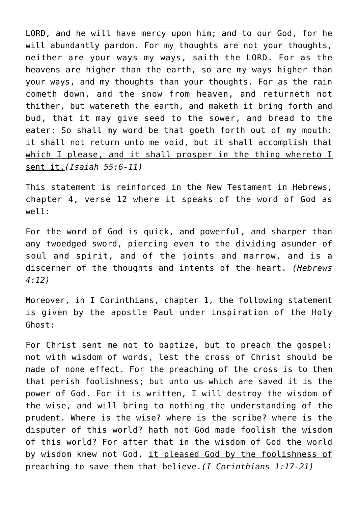LORD, and he will have mercy upon him; and to our God, for he will abundantly pardon. For my thoughts are not your thoughts, neither are your ways my ways, saith the LORD. For as the heavens are higher than the earth, so are my ways higher than your ways, and my thoughts than your thoughts. For as the rain cometh down, and the snow from heaven, and returneth not thither, but watereth the earth, and maketh it bring forth and bud, that it may give seed to the sower, and bread to the eater: So shall my word be that goeth forth out of my mouth: it shall not return unto me void, but it shall accomplish that which I please, and it shall prosper in the thing whereto I sent it.*(Isaiah 55:6-11)*

This statement is reinforced in the New Testament in Hebrews, chapter 4, verse 12 where it speaks of the word of God as well:

For the word of God is quick, and powerful, and sharper than any twoedged sword, piercing even to the dividing asunder of soul and spirit, and of the joints and marrow, and is a discerner of the thoughts and intents of the heart. *(Hebrews 4:12)*

Moreover, in I Corinthians, chapter 1, the following statement is given by the apostle Paul under inspiration of the Holy Ghost:

For Christ sent me not to baptize, but to preach the gospel: not with wisdom of words, lest the cross of Christ should be made of none effect. For the preaching of the cross is to them that perish foolishness; but unto us which are saved it is the power of God. For it is written, I will destroy the wisdom of the wise, and will bring to nothing the understanding of the prudent. Where is the wise? where is the scribe? where is the disputer of this world? hath not God made foolish the wisdom of this world? For after that in the wisdom of God the world by wisdom knew not God, it pleased God by the foolishness of preaching to save them that believe.*(I Corinthians 1:17-21)*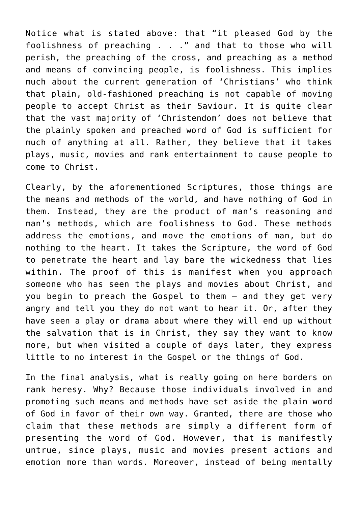Notice what is stated above: that "it pleased God by the foolishness of preaching . . ." and that to those who will perish, the preaching of the cross, and preaching as a method and means of convincing people, is foolishness. This implies much about the current generation of 'Christians' who think that plain, old-fashioned preaching is not capable of moving people to accept Christ as their Saviour. It is quite clear that the vast majority of 'Christendom' does not believe that the plainly spoken and preached word of God is sufficient for much of anything at all. Rather, they believe that it takes plays, music, movies and rank entertainment to cause people to come to Christ.

Clearly, by the aforementioned Scriptures, those things are the means and methods of the world, and have nothing of God in them. Instead, they are the product of man's reasoning and man's methods, which are foolishness to God. These methods address the emotions, and move the emotions of man, but do nothing to the heart. It takes the Scripture, the word of God to penetrate the heart and lay bare the wickedness that lies within. The proof of this is manifest when you approach someone who has seen the plays and movies about Christ, and you begin to preach the Gospel to them — and they get very angry and tell you they do not want to hear it. Or, after they have seen a play or drama about where they will end up without the salvation that is in Christ, they say they want to know more, but when visited a couple of days later, they express little to no interest in the Gospel or the things of God.

In the final analysis, what is really going on here borders on rank heresy. Why? Because those individuals involved in and promoting such means and methods have set aside the plain word of God in favor of their own way. Granted, there are those who claim that these methods are simply a different form of presenting the word of God. However, that is manifestly untrue, since plays, music and movies present actions and emotion more than words. Moreover, instead of being mentally